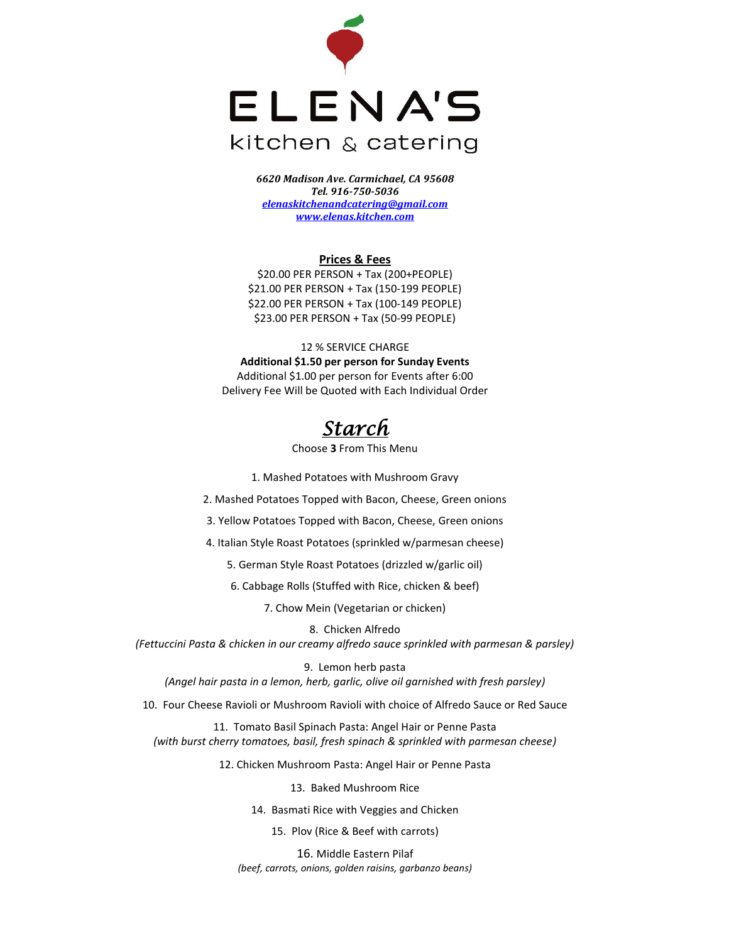

*6620 Madison Ave. Carmichael, CA 95608 Tel. 916-750-5036 [elenaskitchenandcatering@gmail.com](mailto:elenaskitchenandcatering@gmail.com) [www.elenas.kitchen.com](http://www.elenas.kitchen.com/)*

#### **Prices & Fees**

\$20.00 PER PERSON + Tax (200+PEOPLE) \$21.00 PER PERSON + Tax (150-199 PEOPLE) \$22.00 PER PERSON + Tax (100-149 PEOPLE) \$23.00 PER PERSON + Tax (50-99 PEOPLE)

12 % SERVICE CHARGE **Additional \$1.50 per person for Sunday Events** Additional \$1.00 per person for Events after 6:00 Delivery Fee Will be Quoted with Each Individual Order

# *Starch*

Choose **3** From This Menu

1. Mashed Potatoes with Mushroom Gravy

2. Mashed Potatoes Topped with Bacon, Cheese, Green onions

3. Yellow Potatoes Topped with Bacon, Cheese, Green onions

4. Italian Style Roast Potatoes (sprinkled w/parmesan cheese)

5. German Style Roast Potatoes (drizzled w/garlic oil)

6. Cabbage Rolls (Stuffed with Rice, chicken & beef)

7. Chow Mein (Vegetarian or chicken)

8. Chicken Alfredo *(Fettuccini Pasta & chicken in our creamy alfredo sauce sprinkled with parmesan & parsley)* 

9. Lemon herb pasta *(Angel hair pasta in a lemon, herb, garlic, olive oil garnished with fresh parsley)*

10. Four Cheese Ravioli or Mushroom Ravioli with choice of Alfredo Sauce or Red Sauce

11. Tomato Basil Spinach Pasta: Angel Hair or Penne Pasta *(with burst cherry tomatoes, basil, fresh spinach & sprinkled with parmesan cheese)*

12. Chicken Mushroom Pasta: Angel Hair or Penne Pasta

13. Baked Mushroom Rice

14. Basmati Rice with Veggies and Chicken

15. Plov (Rice & Beef with carrots)

16. Middle Eastern Pilaf *(beef, carrots, onions, golden raisins, garbanzo beans)*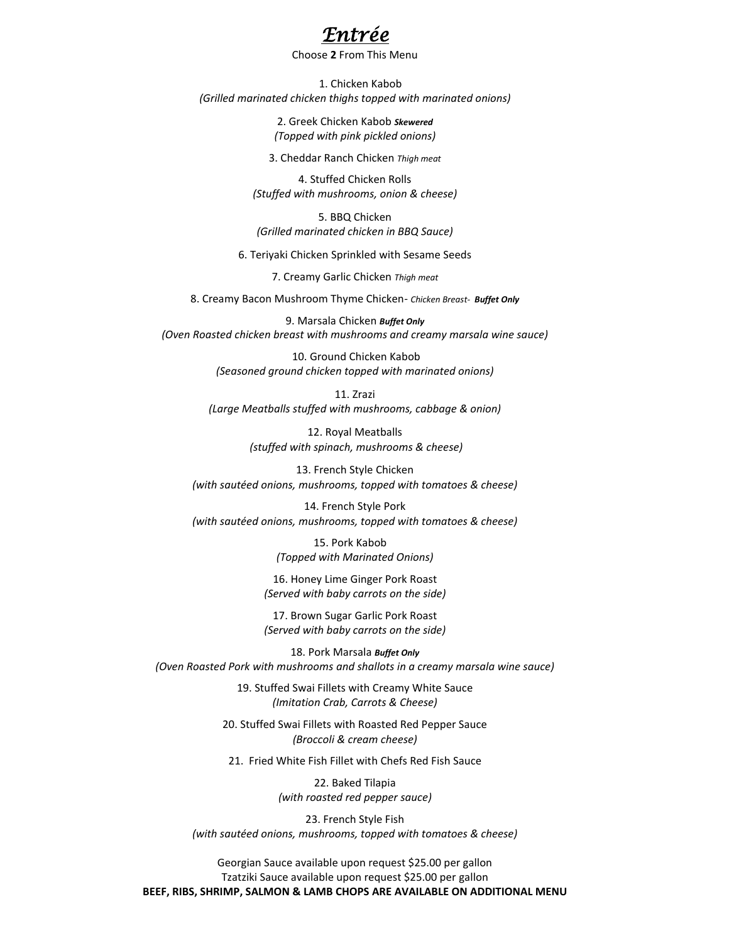

#### Choose **2** From This Menu

 1. Chicken Kabob *(Grilled marinated chicken thighs topped with marinated onions)*

> 2. Greek Chicken Kabob *Skewered (Topped with pink pickled onions)*

3. Cheddar Ranch Chicken *Thigh meat*

4. Stuffed Chicken Rolls *(Stuffed with mushrooms, onion & cheese)*

5. BBQ Chicken *(Grilled marinated chicken in BBQ Sauce)* 

6. Teriyaki Chicken Sprinkled with Sesame Seeds

7. Creamy Garlic Chicken *Thigh meat*

8. Creamy Bacon Mushroom Thyme Chicken- *Chicken Breast- Buffet Only*

9. Marsala Chicken *Buffet Only (Oven Roasted chicken breast with mushrooms and creamy marsala wine sauce)*

> 10. Ground Chicken Kabob *(Seasoned ground chicken topped with marinated onions)*

11. Zrazi *(Large Meatballs stuffed with mushrooms, cabbage & onion)*

> 12. Royal Meatballs *(stuffed with spinach, mushrooms & cheese)*

13. French Style Chicken *(with sautéed onions, mushrooms, topped with tomatoes & cheese)*

14. French Style Pork *(with sautéed onions, mushrooms, topped with tomatoes & cheese)*

> 15. Pork Kabob *(Topped with Marinated Onions)*

16. Honey Lime Ginger Pork Roast *(Served with baby carrots on the side)*

17. Brown Sugar Garlic Pork Roast *(Served with baby carrots on the side)*

18. Pork Marsala *Buffet Only (Oven Roasted Pork with mushrooms and shallots in a creamy marsala wine sauce)*

> 19. Stuffed Swai Fillets with Creamy White Sauce *(Imitation Crab, Carrots & Cheese)*

20. Stuffed Swai Fillets with Roasted Red Pepper Sauce *(Broccoli & cream cheese)*

21. Fried White Fish Fillet with Chefs Red Fish Sauce

22. Baked Tilapia *(with roasted red pepper sauce)*

23. French Style Fish *(with sautéed onions, mushrooms, topped with tomatoes & cheese)*

Georgian Sauce available upon request \$25.00 per gallon Tzatziki Sauce available upon request \$25.00 per gallon **BEEF, RIBS, SHRIMP, SALMON & LAMB CHOPS ARE AVAILABLE ON ADDITIONAL MENU**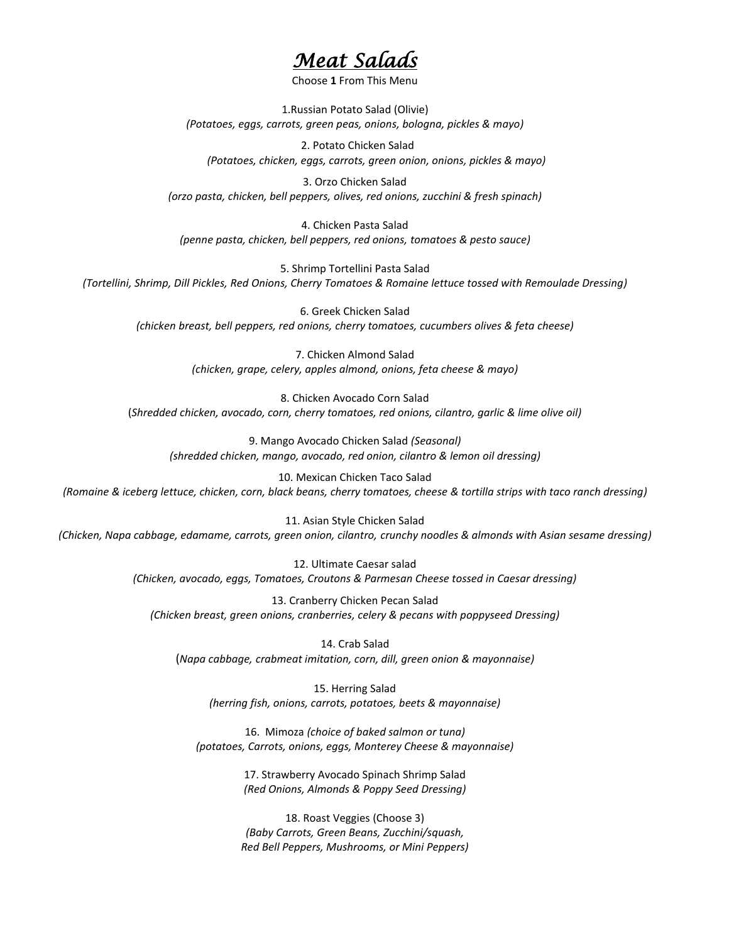# *Meat Salads*

Choose **1** From This Menu

1.Russian Potato Salad (Olivie) *(Potatoes, eggs, carrots, green peas, onions, bologna, pickles & mayo)*

 2. Potato Chicken Salad *(Potatoes, chicken, eggs, carrots, green onion, onions, pickles & mayo)*

3. Orzo Chicken Salad *(orzo pasta, chicken, bell peppers, olives, red onions, zucchini & fresh spinach)*

4. Chicken Pasta Salad *(penne pasta, chicken, bell peppers, red onions, tomatoes & pesto sauce)*

5. Shrimp Tortellini Pasta Salad *(Tortellini, Shrimp, Dill Pickles, Red Onions, Cherry Tomatoes & Romaine lettuce tossed with Remoulade Dressing)*

6. Greek Chicken Salad *(chicken breast, bell peppers, red onions, cherry tomatoes, cucumbers olives & feta cheese)*

> 7. Chicken Almond Salad *(chicken, grape, celery, apples almond, onions, feta cheese & mayo)*

8. Chicken Avocado Corn Salad (*Shredded chicken, avocado, corn, cherry tomatoes, red onions, cilantro, garlic & lime olive oil)*

9. Mango Avocado Chicken Salad *(Seasonal) (shredded chicken, mango, avocado, red onion, cilantro & lemon oil dressing)*

10. Mexican Chicken Taco Salad *(Romaine & iceberg lettuce, chicken, corn, black beans, cherry tomatoes, cheese & tortilla strips with taco ranch dressing)*

11. Asian Style Chicken Salad *(Chicken, Napa cabbage, edamame, carrots, green onion, cilantro, crunchy noodles & almonds with Asian sesame dressing)*

> 12. Ultimate Caesar salad *(Chicken, avocado, eggs, Tomatoes, Croutons & Parmesan Cheese tossed in Caesar dressing)*

13. Cranberry Chicken Pecan Salad *(Chicken breast, green onions, cranberries, celery & pecans with poppyseed Dressing)*

14. Crab Salad (*Napa cabbage, crabmeat imitation, corn, dill, green onion & mayonnaise)*

15. Herring Salad *(herring fish, onions, carrots, potatoes, beets & mayonnaise)*

16. Mimoza *(choice of baked salmon or tuna) (potatoes, Carrots, onions, eggs, Monterey Cheese & mayonnaise)*

> 17. Strawberry Avocado Spinach Shrimp Salad *(Red Onions, Almonds & Poppy Seed Dressing)*

18. Roast Veggies (Choose 3) *(Baby Carrots, Green Beans, Zucchini/squash, Red Bell Peppers, Mushrooms, or Mini Peppers)*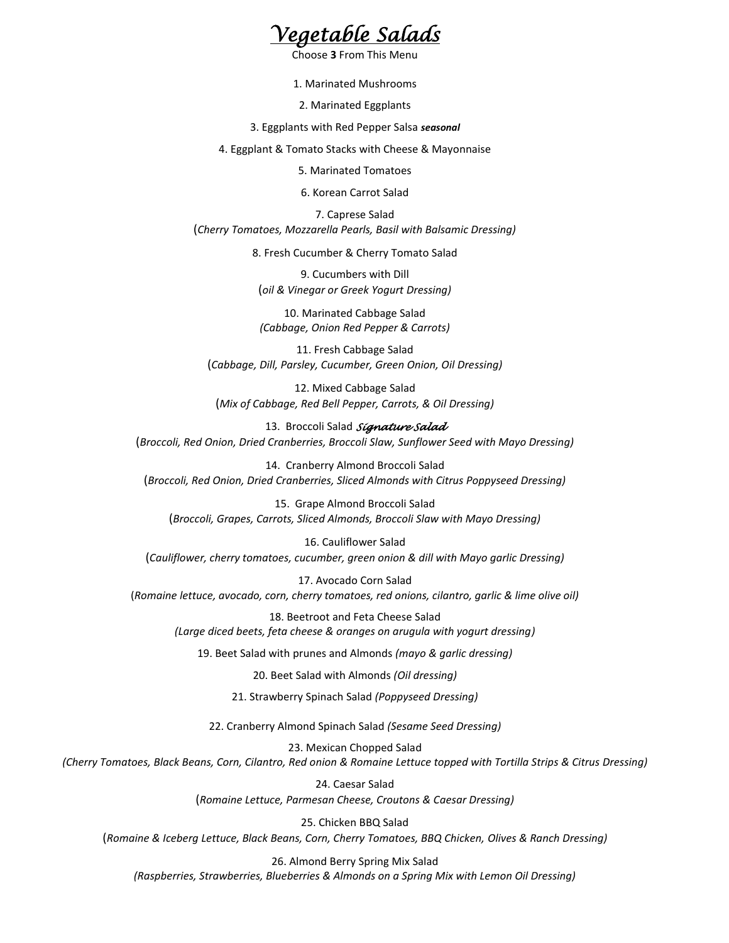

Choose **3** From This Menu

1. Marinated Mushrooms

2. Marinated Eggplants

3. Eggplants with Red Pepper Salsa *seasonal*

4. Eggplant & Tomato Stacks with Cheese & Mayonnaise

5. Marinated Tomatoes

6. Korean Carrot Salad

7. Caprese Salad (*Cherry Tomatoes, Mozzarella Pearls, Basil with Balsamic Dressing)*

8. Fresh Cucumber & Cherry Tomato Salad

9. Cucumbers with Dill (*oil & Vinegar or Greek Yogurt Dressing)*

10. Marinated Cabbage Salad *(Cabbage, Onion Red Pepper & Carrots)*

11. Fresh Cabbage Salad (*Cabbage, Dill, Parsley, Cucumber, Green Onion, Oil Dressing)*

12. Mixed Cabbage Salad (*Mix of Cabbage, Red Bell Pepper, Carrots, & Oil Dressing)*

13. Broccoli Salad *Signature Salad* (*Broccoli, Red Onion, Dried Cranberries, Broccoli Slaw, Sunflower Seed with Mayo Dressing)*

14. Cranberry Almond Broccoli Salad (*Broccoli, Red Onion, Dried Cranberries, Sliced Almonds with Citrus Poppyseed Dressing)*

15. Grape Almond Broccoli Salad (*Broccoli, Grapes, Carrots, Sliced Almonds, Broccoli Slaw with Mayo Dressing)*

16. Cauliflower Salad (*Cauliflower, cherry tomatoes, cucumber, green onion & dill with Mayo garlic Dressing)*

17. Avocado Corn Salad (*Romaine lettuce, avocado, corn, cherry tomatoes, red onions, cilantro, garlic & lime olive oil)*

18. Beetroot and Feta Cheese Salad *(Large diced beets, feta cheese & oranges on arugula with yogurt dressing)*

19. Beet Salad with prunes and Almonds *(mayo & garlic dressing)*

20. Beet Salad with Almonds *(Oil dressing)*

21. Strawberry Spinach Salad *(Poppyseed Dressing)*

22. Cranberry Almond Spinach Salad *(Sesame Seed Dressing)*

23. Mexican Chopped Salad *(Cherry Tomatoes, Black Beans, Corn, Cilantro, Red onion & Romaine Lettuce topped with Tortilla Strips & Citrus Dressing)*

> 24. Caesar Salad (*Romaine Lettuce, Parmesan Cheese, Croutons & Caesar Dressing)*

25. Chicken BBQ Salad (*Romaine & Iceberg Lettuce, Black Beans, Corn, Cherry Tomatoes, BBQ Chicken, Olives & Ranch Dressing)*

26. Almond Berry Spring Mix Salad *(Raspberries, Strawberries, Blueberries & Almonds on a Spring Mix with Lemon Oil Dressing)*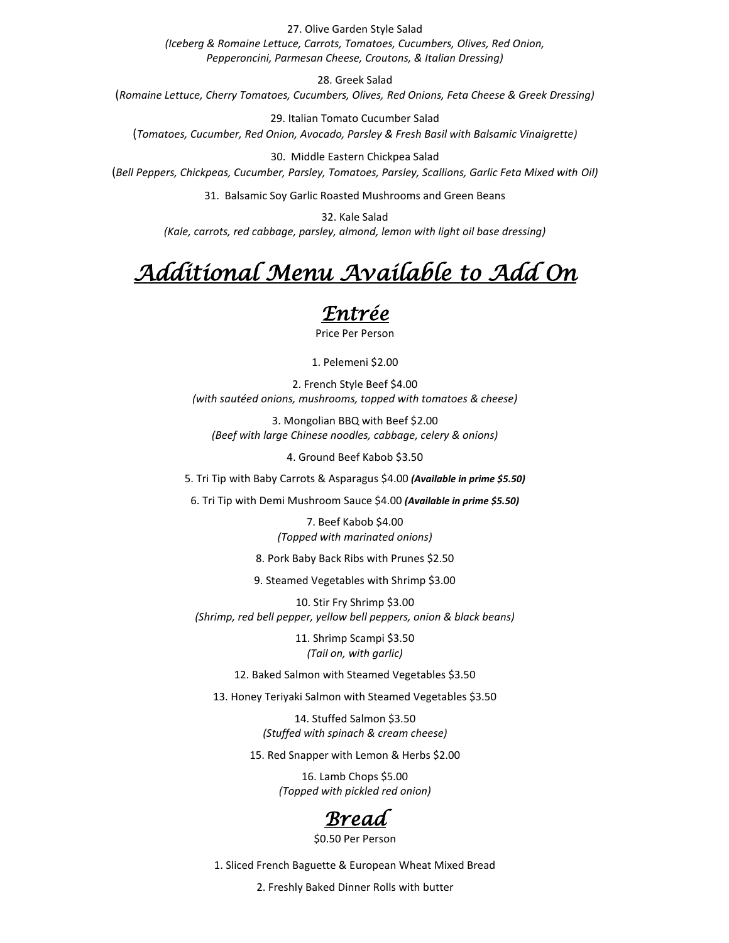27. Olive Garden Style Salad

*(Iceberg & Romaine Lettuce, Carrots, Tomatoes, Cucumbers, Olives, Red Onion, Pepperoncini, Parmesan Cheese, Croutons, & Italian Dressing)*

28. Greek Salad

(*Romaine Lettuce, Cherry Tomatoes, Cucumbers, Olives, Red Onions, Feta Cheese & Greek Dressing)*

29. Italian Tomato Cucumber Salad (*Tomatoes, Cucumber, Red Onion, Avocado, Parsley & Fresh Basil with Balsamic Vinaigrette)*

30. Middle Eastern Chickpea Salad (*Bell Peppers, Chickpeas, Cucumber, Parsley, Tomatoes, Parsley, Scallions, Garlic Feta Mixed with Oil)*

31. Balsamic Soy Garlic Roasted Mushrooms and Green Beans

32. Kale Salad *(Kale, carrots, red cabbage, parsley, almond, lemon with light oil base dressing)*

# *Additional Menu Available to Add On*

### *Entrée*

Price Per Person

1. Pelemeni \$2.00

2. French Style Beef \$4.00 *(with sautéed onions, mushrooms, topped with tomatoes & cheese)*

3. Mongolian BBQ with Beef \$2.00 *(Beef with large Chinese noodles, cabbage, celery & onions)*

4. Ground Beef Kabob \$3.50

5. Tri Tip with Baby Carrots & Asparagus \$4.00 *(Available in prime \$5.50)*

6. Tri Tip with Demi Mushroom Sauce \$4.00 *(Available in prime \$5.50)*

7. Beef Kabob \$4.00 *(Topped with marinated onions)*

8. Pork Baby Back Ribs with Prunes \$2.50

9. Steamed Vegetables with Shrimp \$3.00

10. Stir Fry Shrimp \$3.00 *(Shrimp, red bell pepper, yellow bell peppers, onion & black beans)*

> 11. Shrimp Scampi \$3.50 *(Tail on, with garlic)*

12. Baked Salmon with Steamed Vegetables \$3.50

13. Honey Teriyaki Salmon with Steamed Vegetables \$3.50

14. Stuffed Salmon \$3.50 *(Stuffed with spinach & cream cheese)*

15. Red Snapper with Lemon & Herbs \$2.00

16. Lamb Chops \$5.00 *(Topped with pickled red onion)*



\$0.50 Per Person

1. Sliced French Baguette & European Wheat Mixed Bread

2. Freshly Baked Dinner Rolls with butter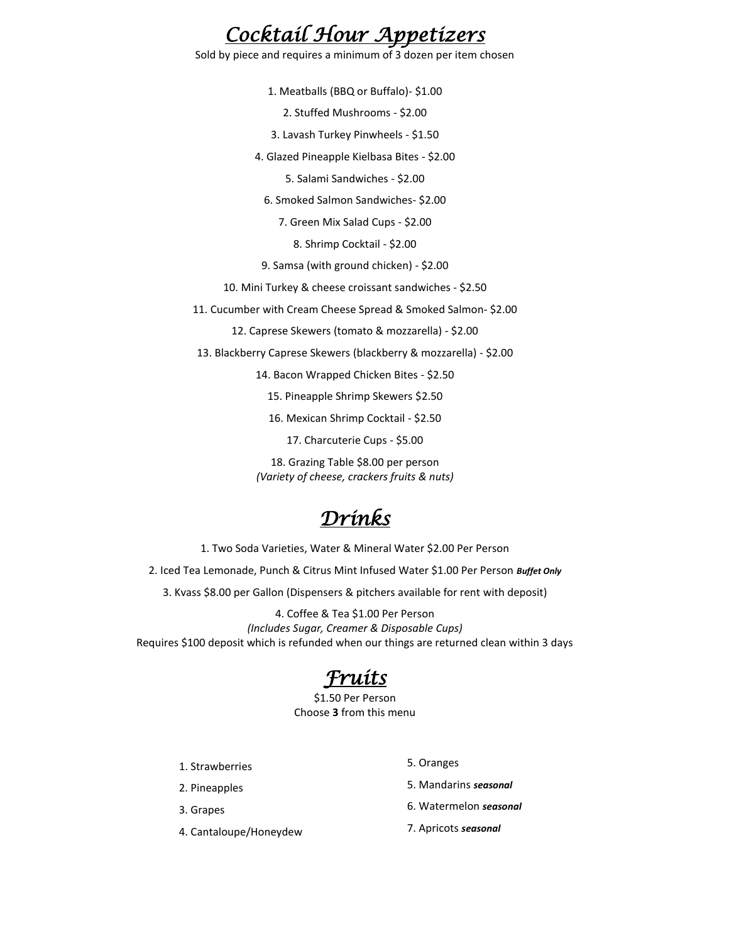# *Cocktail Hour Appetizers*

Sold by piece and requires a minimum of 3 dozen per item chosen

1. Meatballs (BBQ or Buffalo)- \$1.00

2. Stuffed Mushrooms - \$2.00

3. Lavash Turkey Pinwheels - \$1.50

4. Glazed Pineapple Kielbasa Bites - \$2.00

5. Salami Sandwiches - \$2.00

6. Smoked Salmon Sandwiches- \$2.00

7. Green Mix Salad Cups - \$2.00

8. Shrimp Cocktail - \$2.00

9. Samsa (with ground chicken) - \$2.00

10. Mini Turkey & cheese croissant sandwiches - \$2.50

11. Cucumber with Cream Cheese Spread & Smoked Salmon- \$2.00

12. Caprese Skewers (tomato & mozzarella) - \$2.00

13. Blackberry Caprese Skewers (blackberry & mozzarella) - \$2.00

14. Bacon Wrapped Chicken Bites - \$2.50

15. Pineapple Shrimp Skewers \$2.50

16. Mexican Shrimp Cocktail - \$2.50

17. Charcuterie Cups - \$5.00

18. Grazing Table \$8.00 per person *(Variety of cheese, crackers fruits & nuts)*

# *Drinks*

1. Two Soda Varieties, Water & Mineral Water \$2.00 Per Person

2. Iced Tea Lemonade, Punch & Citrus Mint Infused Water \$1.00 Per Person *Buffet Only*

3. Kvass \$8.00 per Gallon (Dispensers & pitchers available for rent with deposit)

4. Coffee & Tea \$1.00 Per Person *(Includes Sugar, Creamer & Disposable Cups)* Requires \$100 deposit which is refunded when our things are returned clean within 3 days

# *Fruits*

\$1.50 Per Person Choose **3** from this menu

1. Strawberries

2. Pineapples

3. Grapes

4. Cantaloupe/Honeydew

5. Oranges

5. Mandarins *seasonal*

- 6. Watermelon *seasonal*
- 7. Apricots *seasonal*